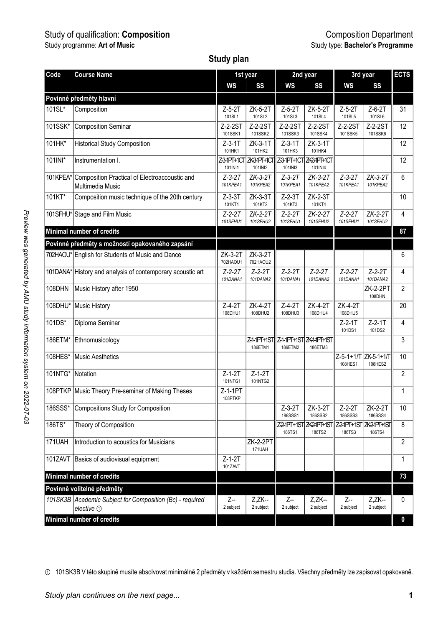# Study of qualification: **Composition** Composition Department

#### **Study plan**

| Code                        | <b>Course Name</b>                                                       |                          | 1st year                        |                             | 2nd year                            | 3rd year                       | ECTS                      |                         |
|-----------------------------|--------------------------------------------------------------------------|--------------------------|---------------------------------|-----------------------------|-------------------------------------|--------------------------------|---------------------------|-------------------------|
|                             |                                                                          | WS                       | SS                              | WS                          | SS                                  | WS                             | SS                        |                         |
|                             | Povinné předměty hlavní                                                  |                          |                                 |                             |                                     |                                |                           |                         |
| $101\overline{\text{SL}^*}$ | Composition                                                              | $Z-5-2T$<br>101SL1       | ZK-5-2T<br>101SL2               | $Z-5-2T$<br>101SL3          | ZK-5-2T<br>101SL4                   | $Z-5-2T$<br>101SL5             | $Z-6-2T$<br>101SL6        | 31                      |
| 101SSK*                     | <b>Composition Seminar</b>                                               | Z-2-2ST<br>101SSK1       | Z-2-2ST<br>101SSK2              | Z-2-2ST<br>101SSK3          | $Z-2-2ST$<br>101SSK4                | Z-2-2ST<br>101SSK5             | Z-2-2ST<br>101SSK6        | 12                      |
| 101HK*                      | <b>Historical Study Composition</b>                                      | Z-3-1T<br>101HK1         | ZK-3-1T<br>101HK2               | $Z-3-1T$<br>101HK3          | ZK-3-1T<br>101HK4                   |                                |                           | 12                      |
| 101INI*                     | Instrumentation I.                                                       | 101INI1                  | Z31PT+1CT ZK31PT+1CT<br>101INI2 | 101INI3                     | Z-3-1PT+1CT ZK3-1PT+1CT<br>101INI4  |                                |                           | 12                      |
| 101KPEA*                    | Composition Practical of Electroaccoustic and<br><b>Multimedia Music</b> | $Z - 3 - 2T$<br>101KPEA1 | $ZK-3-2T$<br>101KPEA2           | $Z - 3 - 2T$<br>101KPEA1    | $ZK-3-2T$<br>101KPEA2               | $Z - 3 - 2T$<br>101KPEA1       | $ZK-3-2T$<br>101KPEA2     | 6                       |
| 101KT*                      | Composition music technique of the 20th century                          | $Z-3-3T$<br>101KT1       | ZK-3-3T<br>101KT2               | $Z-2-3T$<br>101KT3          | ZK-2-3T<br>101KT4                   |                                |                           | 10                      |
|                             | 101SFHU* Stage and Film Music                                            | $Z - 2 - 2T$<br>101SFHU1 | $ZK-2-2T$<br>101SFHU2           | $Z - 2 - 2T$<br>101SFHU1    | $ZK-2-2T$<br>101SFHU2               | $Z - 2 - 2T$<br>101SFHU1       | $ZK-2-2T$<br>101SFHU2     | 4                       |
|                             | Minimal number of credits                                                |                          |                                 |                             |                                     |                                |                           | 87                      |
|                             | Povinné předměty s možností opakovaného zapsání                          |                          |                                 |                             |                                     |                                |                           |                         |
|                             | 702HAOU* English for Students of Music and Dance                         | ZK-3-2T<br>702HAOU1      | ZK-3-2T<br>702HAOU2             |                             |                                     |                                |                           | 6                       |
|                             | 101DANA* History and analysis of contemporary acoustic art               | $Z - 2 - 2T$<br>101DANA1 | $Z - 2 - 2T$<br>101DANA2        | $Z - 2 - 2T$<br>101DANA1    | $Z - 2 - 2T$<br>101DANA2            | $Z - 2 - 2T$<br>101DANA1       | $Z - 2 - 2T$<br>101DANA2  | 4                       |
| 108DHN                      | Music History after 1950                                                 |                          |                                 |                             |                                     |                                | <b>ZK-2-2PT</b><br>108DHN | $\overline{2}$          |
| 108DHU*                     | Music History                                                            | $Z - 4 - 2T$<br>108DHU1  | ZK-4-2T<br>108DHU2              | $Z - 4 - 2T$<br>108DHU3     | ZK-4-2T<br>108DHU4                  | ZK-4-2T<br>108DHU5             |                           | 20                      |
| 101DS*                      | Diploma Seminar                                                          |                          |                                 |                             |                                     | $Z-2-1T$<br>101DS1             | $Z-2-1T$<br>101DS2        | $\overline{\mathbf{4}}$ |
| 186ETM*                     | Ethnomusicology                                                          |                          | Z-1-1PT+1ST<br>186ETM1          | 186ETM2                     | Z-1-1PT+1ST ZK-1-1PT+1ST<br>186ETM3 |                                |                           | 3                       |
| 108HES*                     | <b>Music Aesthetics</b>                                                  |                          |                                 |                             |                                     | $Z - 5 - 1 + 1/T$<br>108HES1   | ZK-5-1+1/T<br>108HES2     | 10                      |
| 101NTG*                     | Notation                                                                 | $Z-1-2T$<br>101NTG1      | $Z-1-2T$<br>101NTG2             |                             |                                     |                                |                           | 2                       |
|                             | 108PTKP Music Theory Pre-seminar of Making Theses                        | Z-1-1PT<br>108PTKP       |                                 |                             |                                     |                                |                           | 1                       |
| 186SSS*                     | Compositions Study for Composition                                       |                          |                                 | $Z-3-2T$<br>186SSS1         | ZK-3-2T<br><b>186SSS2</b>           | $Z - 2 - 2T$<br><b>186SSS3</b> | ZK-2-2T<br>186SSS4        | 10                      |
| 186TS*                      | Theory of Composition                                                    |                          |                                 | <b>Z2-1PT+1ST</b><br>186TS1 | <b>ZK2-1PT+1S1</b><br>186TS2        | Z2-1PT+1ST<br>186TS3           | ZK2-1PT+1ST<br>186TS4     | 8                       |
| 171UAH                      | Introduction to acoustics for Musicians                                  |                          | <b>ZK-2-2PT</b><br>171UAH       |                             |                                     |                                |                           | 2                       |
|                             | 101ZAVT Basics of audiovisual equipment                                  | $Z-1-2T$<br>101ZAVT      |                                 |                             |                                     |                                |                           | 1                       |
|                             | Minimal number of credits                                                |                          |                                 |                             |                                     |                                |                           | 73                      |
|                             | Povinně volitelné předměty                                               |                          |                                 |                             |                                     |                                |                           |                         |
|                             | 101SK3B Academic Subject for Composition (Bc) - required<br>elective 1   | Z--<br>2 subject         | Z.ZK--<br>2 subject             | Z--<br>2 subject            | $Z.ZK-$<br>2 subject                | Z--<br>2 subject               | $Z.ZK-$<br>2 subject      | 0                       |
|                             | Minimal number of credits                                                |                          |                                 |                             |                                     |                                |                           | 0                       |

① 101SK3B V této skupině musíte absolvovat minimálně 2 předměty v každém semestru studia. Všechny předměty lze zapisovat opakovaně.

*Study plan continues on the next page...* **1**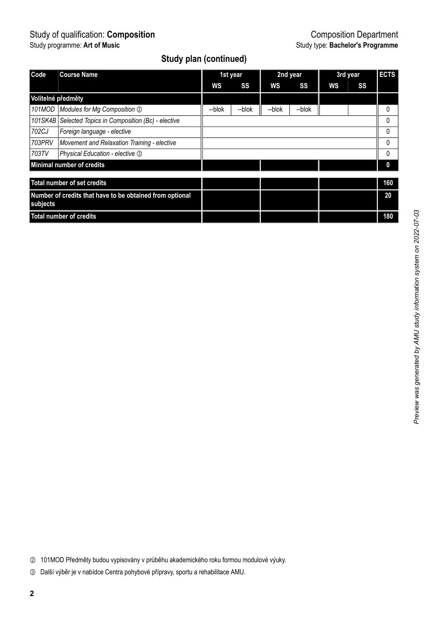## **Study plan (continued)**

| Code                                                     | <b>Course Name</b>                                     | 1st year |        | 2nd year |        | 3rd year |    | <b>ECTS</b>  |
|----------------------------------------------------------|--------------------------------------------------------|----------|--------|----------|--------|----------|----|--------------|
|                                                          |                                                        | WS       | SS     | WS       | SS     | ws       | SS |              |
| Volitelné předměty                                       |                                                        |          |        |          |        |          |    |              |
| 101MOD                                                   | Modules for Mg Composition 2                           | --blok   | --blok | --blok   | --blok |          |    | 0            |
|                                                          | 101SK4B Selected Topics in Composition (Bc) - elective |          |        |          |        |          |    | 0            |
| 702CJ                                                    | Foreign language - elective                            |          |        |          |        |          |    | <sup>0</sup> |
| 703PRV                                                   | Movement and Relaxation Training - elective            |          |        |          |        |          |    | 0            |
| 703TV                                                    | Physical Education - elective 3                        |          |        |          |        |          |    | 0            |
| Minimal number of credits                                |                                                        |          |        |          |        |          |    |              |
|                                                          |                                                        |          |        |          |        |          |    |              |
| Total number of set credits                              |                                                        |          |        |          |        |          |    | 160          |
| Number of credits that have to be obtained from optional |                                                        |          |        |          |        |          |    | 20           |
| subjects                                                 |                                                        |          |        |          |        |          |    |              |
| <b>Total number of credits</b>                           |                                                        |          |        |          |        |          |    | 180          |

Preview was generated by AMU study information system on 2022-07-03 *Preview was generated by AMU study information system on 2022-07-03*

② 101MOD Předměty budou vypisovány v průběhu akademického roku formou modulové výuky.

③ Další výběr je v nabídce Centra pohybové přípravy, sportu a rehabilitace AMU.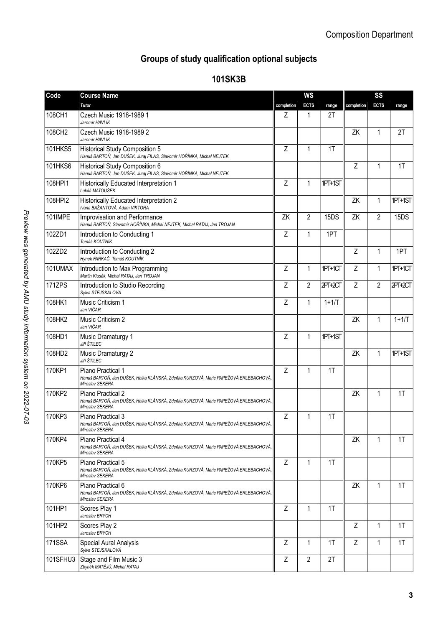# **Groups of study qualification optional subjects**

## **101SK3B**

| Code           | <b>Course Name</b>                                                                                                          |            | <b>WS</b>      |         |                | SS             |         |  |
|----------------|-----------------------------------------------------------------------------------------------------------------------------|------------|----------------|---------|----------------|----------------|---------|--|
|                | Tutor                                                                                                                       | completion | <b>ECTS</b>    | range   | completion     | <b>ECTS</b>    | range   |  |
| 108CH1         | Czech Music 1918-1989 1<br>Jaromír HAVLÍK                                                                                   | Z          | 1              | 2T      |                |                |         |  |
| 108CH2         | Czech Music 1918-1989 2<br>Jaromír HAVLÍK                                                                                   |            |                |         | ZK             | 1              | 2T      |  |
| <b>101HKS5</b> | <b>Historical Study Composition 5</b><br>Hanuš BARTOŇ, Jan DUŠEK, Juraj FILAS, Slavomír HOŘÍNKA, Michal NEJTEK              | Z          | 1              | 1T      |                |                |         |  |
| 101HKS6        | Historical Study Composition 6<br>Hanuš BARTOŇ, Jan DUŠEK, Juraj FILAS, Slavomír HOŘÍNKA, Michal NEJTEK                     |            |                |         | $\overline{7}$ | $\overline{1}$ | 1T      |  |
| 108HPI1        | Historically Educated Interpretation 1<br>Lukáš MATOUŠEK                                                                    | Z          | $\mathbf{1}$   | 1PT+1ST |                |                |         |  |
| 108HPI2        | Historically Educated Interpretation 2<br>Ivana BAŽANTOVÁ, Adam VIKTORA                                                     |            |                |         | ΖK             | 1              | 1PT+1ST |  |
| 101IMPE        | Improvisation and Performance<br>Hanuš BARTOŇ, Slavomír HOŘÍNKA, Michal NEJTEK, Michal RATAJ, Jan TROJAN                    | ZK         | $\mathfrak{p}$ | 15DS    | ZK             | $\mathfrak{p}$ | 15DS    |  |
| 102ZD1         | Introduction to Conducting 1<br>Tomáš KOUTNÍK                                                                               | Z          | 1              | 1PT     |                |                |         |  |
| 102ZD2         | Introduction to Conducting 2<br>Hynek FARKAČ, Tomáš KOUTNÍK                                                                 |            |                |         | Z              | 1              | 1PT     |  |
| 101UMAX        | Introduction to Max Programming<br>Martin Klusák, Michal RATAJ, Jan TROJAN                                                  | Z          | 1              | 1PT+1CT | Z              | 1              | 1PT+1CT |  |
| 171ZPS         | Introduction to Studio Recording<br>Sviva STEJSKALOVÁ                                                                       | Z          | 2              | 2PT+2CT | Z              | 2              | 2PT+2CT |  |
| 108HK1         | Music Criticism 1<br>Jan VIČAR                                                                                              | Z          | 1              | $1+1/T$ |                |                |         |  |
| 108HK2         | Music Criticism 2<br>Jan VIČAR                                                                                              |            |                |         | ZK             | $\mathbf{1}$   | $1+1/T$ |  |
| 108HD1         | Music Dramaturgy 1<br><b>Jiří ŠTILEC</b>                                                                                    | Z          | 1              | 1PT+1ST |                |                |         |  |
| 108HD2         | Music Dramaturgy 2<br><b>Jiří ŠTILEC</b>                                                                                    |            |                |         | ZK             | 1              | 1PT+1ST |  |
| 170KP1         | Piano Practical 1<br>Hanuš BARTOŇ, Jan DUŠEK, Halka KLÁNSKÁ, Zdeňka KURZOVÁ, Marie PAPEŽOVÁ ERLEBACHOVÁ,<br>Miroslav SEKERA | Z          | 1              | 1T      |                |                |         |  |
| 170KP2         | Piano Practical 2<br>Hanuš BARTOŇ, Jan DUŠEK, Halka KLÁNSKÁ, Zdeňka KURZOVÁ, Marie PAPEŽOVÁ ERLEBACHOVÁ,<br>Miroslav SEKERA |            |                |         | ZK             | 1              | 1T      |  |
| 170KP3         | Piano Practical 3<br>Hanuš BARTOŇ, Jan DUŠEK, Halka KLÁNSKÁ, Zdeňka KURZOVÁ, Marie PAPEŽOVÁ ERLEBACHOVÁ,<br>Miroslav SEKERA | Z          | $\mathbf{1}$   | 1T      |                |                |         |  |
| 170KP4         | Piano Practical 4<br>Hanuš BARTOŇ, Jan DUŠEK, Halka KLÁNSKÁ, Zdeňka KURZOVÁ, Marie PAPEŽOVÁ ERLEBACHOVÁ,<br>Miroslav SEKERA |            |                |         | ZK             | 1              | 1T      |  |
| 170KP5         | Piano Practical 5<br>Hanuš BARTOŇ, Jan DUŠEK, Halka KLÁNSKÁ, Zdeňka KURZOVÁ, Marie PAPEŽOVÁ ERLEBACHOVÁ,<br>Miroslav SEKERA | Z          | $\mathbf{1}$   | 1T      |                |                |         |  |
| 170KP6         | Piano Practical 6<br>Hanuš BARTOŇ, Jan DUŠEK, Halka KLÁNSKÁ, Zdeňka KURZOVÁ, Marie PAPEŽOVÁ ERLEBACHOVÁ,<br>Miroslav SEKERA |            |                |         | ZK             | 1              | 1T      |  |
| 101HP1         | Scores Play 1<br>Jaroslav BRYCH                                                                                             | Z          | 1              | 1T      |                |                |         |  |
| 101HP2         | Scores Play 2<br>Jaroslav BRYCH                                                                                             |            |                |         | Ζ              | 1              | 1T      |  |
| <b>171SSA</b>  | Special Aural Analysis<br>Sylva STEJSKALOVÁ                                                                                 | Z          | 1              | 1T      | Z              | 1              | 1T      |  |
| 101SFHU3       | Stage and Film Music 3<br>Zbvněk MATĚJŮ, Michal RATAJ                                                                       | Z          | $\overline{2}$ | 2T      |                |                |         |  |